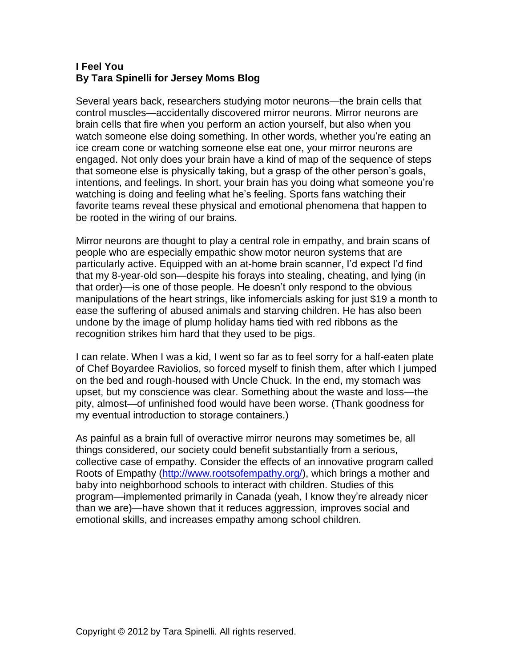## **I Feel You By Tara Spinelli for Jersey Moms Blog**

Several years back, researchers studying motor neurons—the brain cells that control muscles—accidentally discovered mirror neurons. Mirror neurons are brain cells that fire when you perform an action yourself, but also when you watch someone else doing something. In other words, whether you're eating an ice cream cone or watching someone else eat one, your mirror neurons are engaged. Not only does your brain have a kind of map of the sequence of steps that someone else is physically taking, but a grasp of the other person's goals, intentions, and feelings. In short, your brain has you doing what someone you're watching is doing and feeling what he's feeling. Sports fans watching their favorite teams reveal these physical and emotional phenomena that happen to be rooted in the wiring of our brains.

Mirror neurons are thought to play a central role in empathy, and brain scans of people who are especially empathic show motor neuron systems that are particularly active. Equipped with an at-home brain scanner, I'd expect I'd find that my 8-year-old son—despite his forays into stealing, cheating, and lying (in that order)—is one of those people. He doesn't only respond to the obvious manipulations of the heart strings, like infomercials asking for just \$19 a month to ease the suffering of abused animals and starving children. He has also been undone by the image of plump holiday hams tied with red ribbons as the recognition strikes him hard that they used to be pigs.

I can relate. When I was a kid, I went so far as to feel sorry for a half-eaten plate of Chef Boyardee Raviolios, so forced myself to finish them, after which I jumped on the bed and rough-housed with Uncle Chuck. In the end, my stomach was upset, but my conscience was clear. Something about the waste and loss—the pity, almost—of unfinished food would have been worse. (Thank goodness for my eventual introduction to storage containers.)

As painful as a brain full of overactive mirror neurons may sometimes be, all things considered, our society could benefit substantially from a serious, collective case of empathy. Consider the effects of an innovative program called Roots of Empathy [\(http://www.rootsofempathy.org/\)](http://www.rootsofempathy.org/), which brings a mother and baby into neighborhood schools to interact with children. Studies of this program—implemented primarily in Canada (yeah, I know they're already nicer than we are)—have shown that it reduces aggression, improves social and emotional skills, and increases empathy among school children.